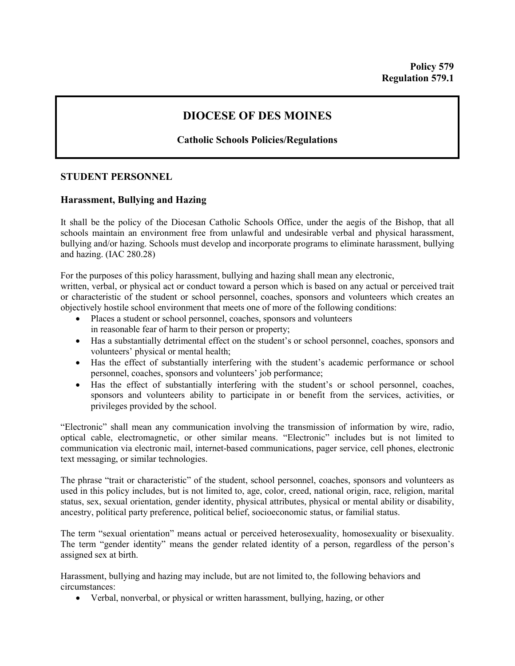# **DIOCESE OF DES MOINES**

# **Catholic Schools Policies/Regulations**

### **STUDENT PERSONNEL**

## **Harassment, Bullying and Hazing**

It shall be the policy of the Diocesan Catholic Schools Office, under the aegis of the Bishop, that all schools maintain an environment free from unlawful and undesirable verbal and physical harassment, bullying and/or hazing. Schools must develop and incorporate programs to eliminate harassment, bullying and hazing. (IAC 280.28)

For the purposes of this policy harassment, bullying and hazing shall mean any electronic,

written, verbal, or physical act or conduct toward a person which is based on any actual or perceived trait or characteristic of the student or school personnel, coaches, sponsors and volunteers which creates an objectively hostile school environment that meets one of more of the following conditions:

- Places a student or school personnel, coaches, sponsors and volunteers in reasonable fear of harm to their person or property;
- Has a substantially detrimental effect on the student's or school personnel, coaches, sponsors and volunteers' physical or mental health;
- Has the effect of substantially interfering with the student's academic performance or school personnel, coaches, sponsors and volunteers' job performance;
- Has the effect of substantially interfering with the student's or school personnel, coaches, sponsors and volunteers ability to participate in or benefit from the services, activities, or privileges provided by the school.

"Electronic" shall mean any communication involving the transmission of information by wire, radio, optical cable, electromagnetic, or other similar means. "Electronic" includes but is not limited to communication via electronic mail, internet-based communications, pager service, cell phones, electronic text messaging, or similar technologies.

The phrase "trait or characteristic" of the student, school personnel, coaches, sponsors and volunteers as used in this policy includes, but is not limited to, age, color, creed, national origin, race, religion, marital status, sex, sexual orientation, gender identity, physical attributes, physical or mental ability or disability, ancestry, political party preference, political belief, socioeconomic status, or familial status.

The term "sexual orientation" means actual or perceived heterosexuality, homosexuality or bisexuality. The term "gender identity" means the gender related identity of a person, regardless of the person's assigned sex at birth.

Harassment, bullying and hazing may include, but are not limited to, the following behaviors and circumstances:

• Verbal, nonverbal, or physical or written harassment, bullying, hazing, or other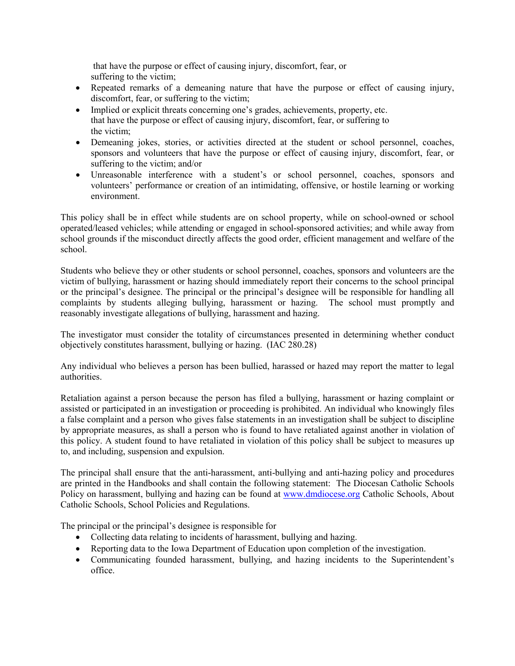that have the purpose or effect of causing injury, discomfort, fear, or suffering to the victim;

- Repeated remarks of a demeaning nature that have the purpose or effect of causing injury, discomfort, fear, or suffering to the victim;
- Implied or explicit threats concerning one's grades, achievements, property, etc. that have the purpose or effect of causing injury, discomfort, fear, or suffering to the victim;
- Demeaning jokes, stories, or activities directed at the student or school personnel, coaches, sponsors and volunteers that have the purpose or effect of causing injury, discomfort, fear, or suffering to the victim; and/or
- Unreasonable interference with a student's or school personnel, coaches, sponsors and volunteers' performance or creation of an intimidating, offensive, or hostile learning or working environment.

This policy shall be in effect while students are on school property, while on school-owned or school operated/leased vehicles; while attending or engaged in school-sponsored activities; and while away from school grounds if the misconduct directly affects the good order, efficient management and welfare of the school.

Students who believe they or other students or school personnel, coaches, sponsors and volunteers are the victim of bullying, harassment or hazing should immediately report their concerns to the school principal or the principal's designee. The principal or the principal's designee will be responsible for handling all complaints by students alleging bullying, harassment or hazing. The school must promptly and reasonably investigate allegations of bullying, harassment and hazing.

The investigator must consider the totality of circumstances presented in determining whether conduct objectively constitutes harassment, bullying or hazing. (IAC 280.28)

Any individual who believes a person has been bullied, harassed or hazed may report the matter to legal authorities.

Retaliation against a person because the person has filed a bullying, harassment or hazing complaint or assisted or participated in an investigation or proceeding is prohibited. An individual who knowingly files a false complaint and a person who gives false statements in an investigation shall be subject to discipline by appropriate measures, as shall a person who is found to have retaliated against another in violation of this policy. A student found to have retaliated in violation of this policy shall be subject to measures up to, and including, suspension and expulsion.

The principal shall ensure that the anti-harassment, anti-bullying and anti-hazing policy and procedures are printed in the Handbooks and shall contain the following statement: The Diocesan Catholic Schools Policy on harassment, bullying and hazing can be found at [www.dmdiocese.org](http://www.dmdiocese.org/) Catholic Schools, About Catholic Schools, School Policies and Regulations.

The principal or the principal's designee is responsible for

- Collecting data relating to incidents of harassment, bullying and hazing.
- Reporting data to the Iowa Department of Education upon completion of the investigation.
- Communicating founded harassment, bullying, and hazing incidents to the Superintendent's office.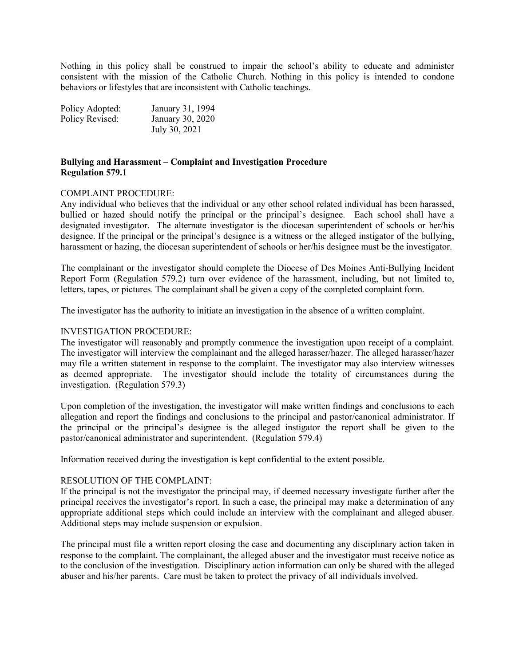Nothing in this policy shall be construed to impair the school's ability to educate and administer consistent with the mission of the Catholic Church. Nothing in this policy is intended to condone behaviors or lifestyles that are inconsistent with Catholic teachings.

| Policy Adopted: | January 31, 1994 |
|-----------------|------------------|
| Policy Revised: | January 30, 2020 |
|                 | July 30, 2021    |

#### **Bullying and Harassment – Complaint and Investigation Procedure Regulation 579.1**

#### COMPLAINT PROCEDURE:

Any individual who believes that the individual or any other school related individual has been harassed, bullied or hazed should notify the principal or the principal's designee. Each school shall have a designated investigator. The alternate investigator is the diocesan superintendent of schools or her/his designee. If the principal or the principal's designee is a witness or the alleged instigator of the bullying, harassment or hazing, the diocesan superintendent of schools or her/his designee must be the investigator.

The complainant or the investigator should complete the Diocese of Des Moines Anti-Bullying Incident Report Form (Regulation 579.2) turn over evidence of the harassment, including, but not limited to, letters, tapes, or pictures. The complainant shall be given a copy of the completed complaint form.

The investigator has the authority to initiate an investigation in the absence of a written complaint.

#### INVESTIGATION PROCEDURE:

The investigator will reasonably and promptly commence the investigation upon receipt of a complaint. The investigator will interview the complainant and the alleged harasser/hazer. The alleged harasser/hazer may file a written statement in response to the complaint. The investigator may also interview witnesses as deemed appropriate. The investigator should include the totality of circumstances during the investigation. (Regulation 579.3)

Upon completion of the investigation, the investigator will make written findings and conclusions to each allegation and report the findings and conclusions to the principal and pastor/canonical administrator. If the principal or the principal's designee is the alleged instigator the report shall be given to the pastor/canonical administrator and superintendent. (Regulation 579.4)

Information received during the investigation is kept confidential to the extent possible.

#### RESOLUTION OF THE COMPLAINT:

If the principal is not the investigator the principal may, if deemed necessary investigate further after the principal receives the investigator's report. In such a case, the principal may make a determination of any appropriate additional steps which could include an interview with the complainant and alleged abuser. Additional steps may include suspension or expulsion.

The principal must file a written report closing the case and documenting any disciplinary action taken in response to the complaint. The complainant, the alleged abuser and the investigator must receive notice as to the conclusion of the investigation. Disciplinary action information can only be shared with the alleged abuser and his/her parents. Care must be taken to protect the privacy of all individuals involved.